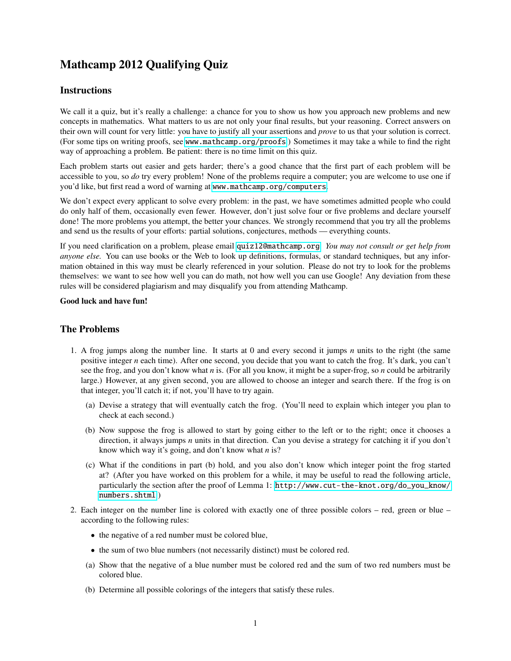## Mathcamp 2012 Qualifying Quiz

## **Instructions**

We call it a quiz, but it's really a challenge: a chance for you to show us how you approach new problems and new concepts in mathematics. What matters to us are not only your final results, but your reasoning. Correct answers on their own will count for very little: you have to justify all your assertions and *prove* to us that your solution is correct. (For some tips on writing proofs, see [www.mathcamp.org/proofs](http://www.mathcamp.org/proofs).) Sometimes it may take a while to find the right way of approaching a problem. Be patient: there is no time limit on this quiz.

Each problem starts out easier and gets harder; there's a good chance that the first part of each problem will be accessible to you, so *do* try every problem! None of the problems require a computer; you are welcome to use one if you'd like, but first read a word of warning at [www.mathcamp.org/computers](http://www.mathcamp.org/computers).

We don't expect every applicant to solve every problem: in the past, we have sometimes admitted people who could do only half of them, occasionally even fewer. However, don't just solve four or five problems and declare yourself done! The more problems you attempt, the better your chances. We strongly recommend that you try all the problems and send us the results of your efforts: partial solutions, conjectures, methods — everything counts.

If you need clarification on a problem, please email [quiz12@mathcamp.org](mailto:quiz12@mathcamp.org). *You may not consult or get help from anyone else.* You can use books or the Web to look up definitions, formulas, or standard techniques, but any information obtained in this way must be clearly referenced in your solution. Please do not try to look for the problems themselves: we want to see how well you can do math, not how well you can use Google! Any deviation from these rules will be considered plagiarism and may disqualify you from attending Mathcamp.

## Good luck and have fun!

## The Problems

- 1. A frog jumps along the number line. It starts at 0 and every second it jumps *n* units to the right (the same positive integer *n* each time). After one second, you decide that you want to catch the frog. It's dark, you can't see the frog, and you don't know what *n* is. (For all you know, it might be a super-frog, so *n* could be arbitrarily large.) However, at any given second, you are allowed to choose an integer and search there. If the frog is on that integer, you'll catch it; if not, you'll have to try again.
	- (a) Devise a strategy that will eventually catch the frog. (You'll need to explain which integer you plan to check at each second.)
	- (b) Now suppose the frog is allowed to start by going either to the left or to the right; once it chooses a direction, it always jumps *n* units in that direction. Can you devise a strategy for catching it if you don't know which way it's going, and don't know what *n* is?
	- (c) What if the conditions in part (b) hold, and you also don't know which integer point the frog started at? (After you have worked on this problem for a while, it may be useful to read the following article, particularly the section after the proof of Lemma 1: [http://www.cut-the-knot.org/do\\_you\\_know/](http://www.cut-the-knot.org/do_you_know/numbers.shtml) [numbers.shtml](http://www.cut-the-knot.org/do_you_know/numbers.shtml).)
- 2. Each integer on the number line is colored with exactly one of three possible colors red, green or blue according to the following rules:
	- the negative of a red number must be colored blue,
	- the sum of two blue numbers (not necessarily distinct) must be colored red.
	- (a) Show that the negative of a blue number must be colored red and the sum of two red numbers must be colored blue.
	- (b) Determine all possible colorings of the integers that satisfy these rules.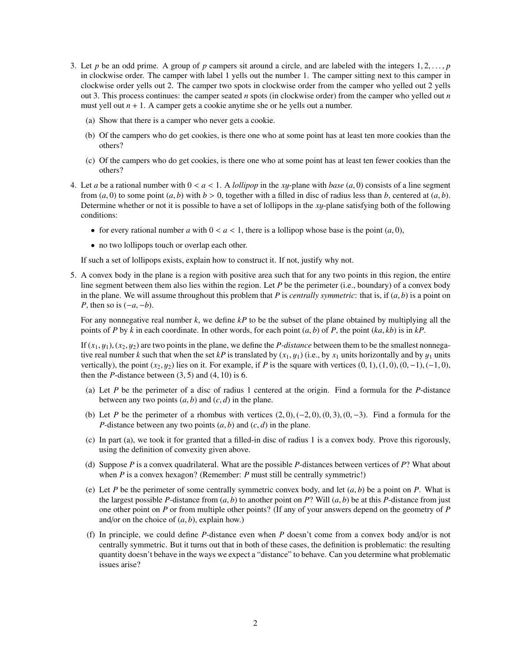- 3. Let *p* be an odd prime. A group of *p* campers sit around a circle, and are labeled with the integers  $1, 2, \ldots, p$ in clockwise order. The camper with label 1 yells out the number 1. The camper sitting next to this camper in clockwise order yells out 2. The camper two spots in clockwise order from the camper who yelled out 2 yells out 3. This process continues: the camper seated *n* spots (in clockwise order) from the camper who yelled out *n* must yell out  $n + 1$ . A camper gets a cookie anytime she or he yells out a number.
	- (a) Show that there is a camper who never gets a cookie.
	- (b) Of the campers who do get cookies, is there one who at some point has at least ten more cookies than the others?
	- (c) Of the campers who do get cookies, is there one who at some point has at least ten fewer cookies than the others?
- 4. Let *a* be a rational number with  $0 < a < 1$ . A *lollipop* in the *xy*-plane with *base*  $(a, 0)$  consists of a line segment from  $(a, 0)$  to some point  $(a, b)$  with  $b > 0$ , together with a filled in disc of radius less than *b*, centered at  $(a, b)$ . Determine whether or not it is possible to have a set of lollipops in the *<sup>x</sup>*y-plane satisfying both of the following conditions:
	- for every rational number *a* with  $0 < a < 1$ , there is a lollipop whose base is the point  $(a, 0)$ ,
	- no two lollipops touch or overlap each other.

If such a set of lollipops exists, explain how to construct it. If not, justify why not.

5. A convex body in the plane is a region with positive area such that for any two points in this region, the entire line segment between them also lies within the region. Let *P* be the perimeter (i.e., boundary) of a convex body in the plane. We will assume throughout this problem that *P* is *centrally symmetric*: that is, if  $(a, b)$  is a point on *P*, then so is  $(-a, -b)$ .

For any nonnegative real number *k*, we define *kP* to be the subset of the plane obtained by multiplying all the points of *P* by *k* in each coordinate. In other words, for each point  $(a, b)$  of *P*, the point  $(ka, kb)$  is in  $kP$ .

If  $(x_1, y_1)$ ,  $(x_2, y_2)$  are two points in the plane, we define the *P-distance* between them to be the smallest nonnegative real number *k* such that when the set *kP* is translated by  $(x_1, y_1)$  (i.e., by  $x_1$  units horizontally and by  $y_1$  units vertically), the point  $(x_2, y_2)$  lies on it. For example, if *P* is the square with vertices  $(0, 1), (1, 0), (0, -1), (-1, 0)$ , then the *P*-distance between  $(3, 5)$  and  $(4, 10)$  is 6.

- (a) Let *P* be the perimeter of a disc of radius 1 centered at the origin. Find a formula for the *P*-distance between any two points  $(a, b)$  and  $(c, d)$  in the plane.
- (b) Let *P* be the perimeter of a rhombus with vertices  $(2,0)$ ,  $(-2,0)$ ,  $(0,3)$ ,  $(0,-3)$ . Find a formula for the *P*-distance between any two points  $(a, b)$  and  $(c, d)$  in the plane.
- (c) In part (a), we took it for granted that a filled-in disc of radius 1 is a convex body. Prove this rigorously, using the definition of convexity given above.
- (d) Suppose *P* is a convex quadrilateral. What are the possible *P*-distances between vertices of *P*? What about when *P* is a convex hexagon? (Remember: *P* must still be centrally symmetric!)
- (e) Let *P* be the perimeter of some centrally symmetric convex body, and let  $(a, b)$  be a point on *P*. What is the largest possible *P*-distance from  $(a, b)$  to another point on *P*? Will  $(a, b)$  be at this *P*-distance from just one other point on *P* or from multiple other points? (If any of your answers depend on the geometry of *P* and/or on the choice of  $(a, b)$ , explain how.)
- (f) In principle, we could define *P*-distance even when *P* doesn't come from a convex body and/or is not centrally symmetric. But it turns out that in both of these cases, the definition is problematic: the resulting quantity doesn't behave in the ways we expect a "distance" to behave. Can you determine what problematic issues arise?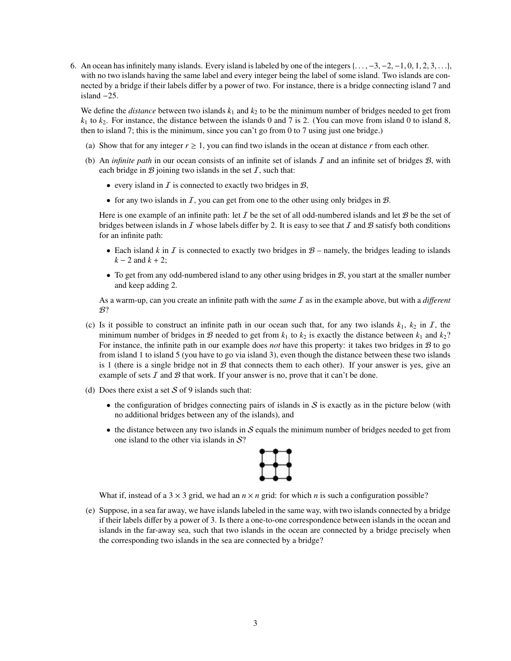6. An ocean has infinitely many islands. Every island is labeled by one of the integers  $\{\ldots, -3, -2, -1, 0, 1, 2, 3, \ldots\}$ with no two islands having the same label and every integer being the label of some island. Two islands are connected by a bridge if their labels differ by a power of two. For instance, there is a bridge connecting island 7 and island −25.

We define the *distance* between two islands  $k_1$  and  $k_2$  to be the minimum number of bridges needed to get from  $k_1$  to  $k_2$ . For instance, the distance between the islands 0 and 7 is 2. (You can move from island 0 to island 8, then to island 7; this is the minimum, since you can't go from 0 to 7 using just one bridge.)

- (a) Show that for any integer  $r \geq 1$ , you can find two islands in the ocean at distance r from each other.
- (b) An *infinite path* in our ocean consists of an infinite set of islands I and an infinite set of bridges B, with each bridge in  $\mathcal B$  joining two islands in the set  $\mathcal I$ , such that:
	- every island in  $I$  is connected to exactly two bridges in  $B$ ,
	- for any two islands in  $\overline{I}$ , you can get from one to the other using only bridges in  $\mathcal{B}$ .

Here is one example of an infinite path: let  $I$  be the set of all odd-numbered islands and let  $B$  be the set of bridges between islands in  $\mathcal I$  whose labels differ by 2. It is easy to see that  $\mathcal I$  and  $\mathcal B$  satisfy both conditions for an infinite path:

- Each island *k* in *I* is connected to exactly two bridges in  $B$  namely, the bridges leading to islands *k* − 2 and *k* + 2;
- To get from any odd-numbered island to any other using bridges in  $B$ , you start at the smaller number and keep adding 2.

As a warm-up, can you create an infinite path with the *same* I as in the example above, but with a *di*ff*erent*  $\mathcal{B}$ ?

- (c) Is it possible to construct an infinite path in our ocean such that, for any two islands  $k_1$ ,  $k_2$  in  $I$ , the minimum number of bridges in B needed to get from  $k_1$  to  $k_2$  is exactly the distance between  $k_1$  and  $k_2$ ? For instance, the infinite path in our example does *not* have this property: it takes two bridges in B to go from island 1 to island 5 (you have to go via island 3), even though the distance between these two islands is 1 (there is a single bridge not in  $\mathcal B$  that connects them to each other). If your answer is yes, give an example of sets  $I$  and  $B$  that work. If your answer is no, prove that it can't be done.
- (d) Does there exist a set  $S$  of 9 islands such that:
	- the configuration of bridges connecting pairs of islands in  $S$  is exactly as in the picture below (with no additional bridges between any of the islands), and
	- $\bullet$  the distance between any two islands in S equals the minimum number of bridges needed to get from one island to the other via islands in  $S$ ?



What if, instead of a  $3 \times 3$  grid, we had an  $n \times n$  grid: for which *n* is such a configuration possible?

(e) Suppose, in a sea far away, we have islands labeled in the same way, with two islands connected by a bridge if their labels differ by a power of 3. Is there a one-to-one correspondence between islands in the ocean and islands in the far-away sea, such that two islands in the ocean are connected by a bridge precisely when the corresponding two islands in the sea are connected by a bridge?